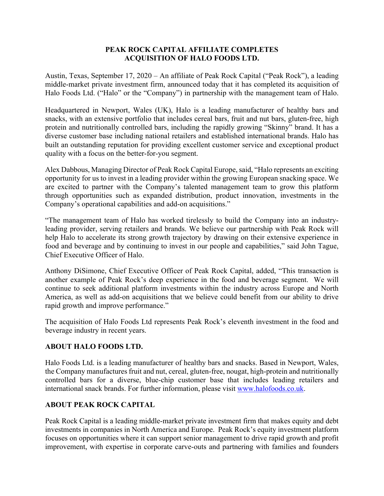## **PEAK ROCK CAPITAL AFFILIATE COMPLETES ACQUISITION OF HALO FOODS LTD.**

Austin, Texas, September 17, 2020 – An affiliate of Peak Rock Capital ("Peak Rock"), a leading middle-market private investment firm, announced today that it has completed its acquisition of Halo Foods Ltd. ("Halo" or the "Company") in partnership with the management team of Halo.

Headquartered in Newport, Wales (UK), Halo is a leading manufacturer of healthy bars and snacks, with an extensive portfolio that includes cereal bars, fruit and nut bars, gluten-free, high protein and nutritionally controlled bars, including the rapidly growing "Skinny" brand. It has a diverse customer base including national retailers and established international brands. Halo has built an outstanding reputation for providing excellent customer service and exceptional product quality with a focus on the better-for-you segment.

Alex Dabbous, Managing Director of Peak Rock Capital Europe, said, "Halo represents an exciting opportunity for us to invest in a leading provider within the growing European snacking space. We are excited to partner with the Company's talented management team to grow this platform through opportunities such as expanded distribution, product innovation, investments in the Company's operational capabilities and add-on acquisitions."

"The management team of Halo has worked tirelessly to build the Company into an industryleading provider, serving retailers and brands. We believe our partnership with Peak Rock will help Halo to accelerate its strong growth trajectory by drawing on their extensive experience in food and beverage and by continuing to invest in our people and capabilities," said John Tague, Chief Executive Officer of Halo.

Anthony DiSimone, Chief Executive Officer of Peak Rock Capital, added, "This transaction is another example of Peak Rock's deep experience in the food and beverage segment. We will continue to seek additional platform investments within the industry across Europe and North America, as well as add-on acquisitions that we believe could benefit from our ability to drive rapid growth and improve performance."

The acquisition of Halo Foods Ltd represents Peak Rock's eleventh investment in the food and beverage industry in recent years.

## **ABOUT HALO FOODS LTD.**

Halo Foods Ltd. is a leading manufacturer of healthy bars and snacks. Based in Newport, Wales, the Company manufactures fruit and nut, cereal, gluten-free, nougat, high-protein and nutritionally controlled bars for a diverse, blue-chip customer base that includes leading retailers and international snack brands. For further information, please visit www.halofoods.co.uk.

## **ABOUT PEAK ROCK CAPITAL**

Peak Rock Capital is a leading middle-market private investment firm that makes equity and debt investments in companies in North America and Europe. Peak Rock's equity investment platform focuses on opportunities where it can support senior management to drive rapid growth and profit improvement, with expertise in corporate carve-outs and partnering with families and founders